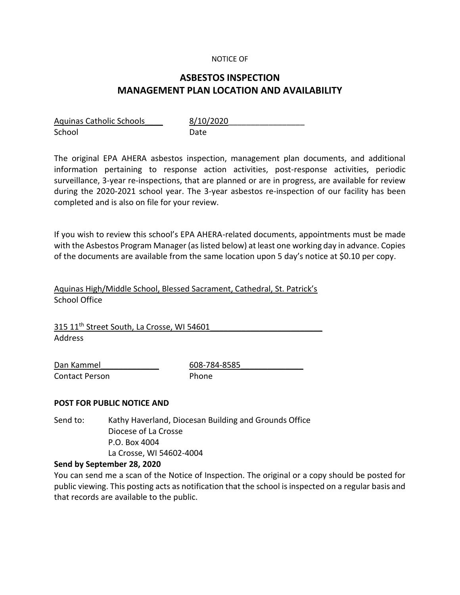### NOTICE OF

# **ASBESTOS INSPECTION MANAGEMENT PLAN LOCATION AND AVAILABILITY**

| <b>Aquinas Catholic Schools</b> | 8/10 |
|---------------------------------|------|
| School                          | Date |

8/10/2020

The original EPA AHERA asbestos inspection, management plan documents, and additional information pertaining to response action activities, post-response activities, periodic surveillance, 3-year re-inspections, that are planned or are in progress, are available for review during the 2020-2021 school year. The 3-year asbestos re-inspection of our facility has been completed and is also on file for your review.

If you wish to review this school's EPA AHERA-related documents, appointments must be made with the Asbestos Program Manager (as listed below) at least one working day in advance. Copies of the documents are available from the same location upon 5 day's notice at \$0.10 per copy.

Aquinas High/Middle School, Blessed Sacrament, Cathedral, St. Patrick's School Office

315 11<sup>th</sup> Street South, La Crosse, WI 54601 Address

Contact Person **Phone** 

Dan Kammel 608-784-8585

## **POST FOR PUBLIC NOTICE AND**

Send to: Kathy Haverland, Diocesan Building and Grounds Office Diocese of La Crosse P.O. Box 4004 La Crosse, WI 54602-4004

### **Send by September 28, 2020**

You can send me a scan of the Notice of Inspection. The original or a copy should be posted for public viewing. This posting acts as notification that the school is inspected on a regular basis and that records are available to the public.